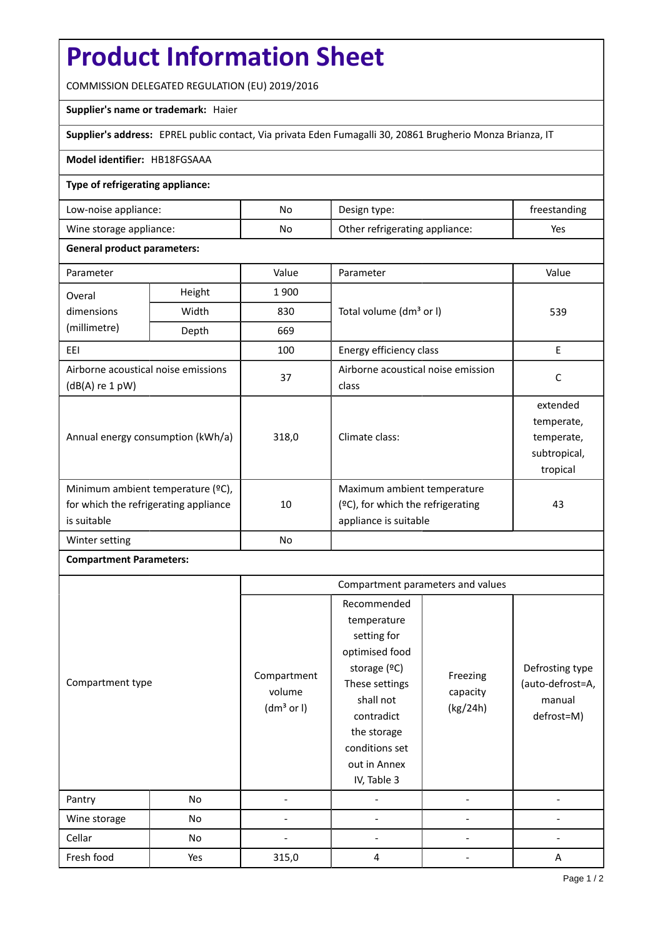# **Product Information Sheet**

COMMISSION DELEGATED REGULATION (EU) 2019/2016

# **Supplier's name or trademark:** Haier

**Supplier's address:** EPREL public contact, Via privata Eden Fumagalli 30, 20861 Brugherio Monza Brianza, IT

#### **Model identifier:** HB18FGSAAA

## **Type of refrigerating appliance:**

| Low-noise appliance:    | No | Design type:                   | treestanding |
|-------------------------|----|--------------------------------|--------------|
| Wine storage appliance: | No | Other refrigerating appliance: | Yes          |

#### **General product parameters:**

| Parameter                                                                                 |        | Value | Parameter                                                                                    | Value                                                            |
|-------------------------------------------------------------------------------------------|--------|-------|----------------------------------------------------------------------------------------------|------------------------------------------------------------------|
| Overal                                                                                    | Height | 1900  |                                                                                              | 539                                                              |
| dimensions<br>(millimetre)                                                                | Width  | 830   | Total volume (dm <sup>3</sup> or I)                                                          |                                                                  |
|                                                                                           | Depth  | 669   |                                                                                              |                                                                  |
| EEI                                                                                       |        | 100   | Energy efficiency class                                                                      | E                                                                |
| Airborne acoustical noise emissions<br>$(dB(A)$ re 1 pW)                                  |        | 37    | Airborne acoustical noise emission<br>class                                                  | C                                                                |
| Annual energy consumption (kWh/a)                                                         |        | 318,0 | Climate class:                                                                               | extended<br>temperate,<br>temperate,<br>subtropical,<br>tropical |
| Minimum ambient temperature (°C),<br>for which the refrigerating appliance<br>is suitable |        | 10    | Maximum ambient temperature<br>$(°C)$ , for which the refrigerating<br>appliance is suitable | 43                                                               |
| Winter setting                                                                            |        | No    |                                                                                              |                                                                  |

## **Compartment Parameters:**

|                  |     | Compartment parameters and values               |                                                                                                                                                                                          |                                  |                                                             |
|------------------|-----|-------------------------------------------------|------------------------------------------------------------------------------------------------------------------------------------------------------------------------------------------|----------------------------------|-------------------------------------------------------------|
| Compartment type |     | Compartment<br>volume<br>(dm <sup>3</sup> or I) | Recommended<br>temperature<br>setting for<br>optimised food<br>storage (ºC)<br>These settings<br>shall not<br>contradict<br>the storage<br>conditions set<br>out in Annex<br>IV, Table 3 | Freezing<br>capacity<br>(kg/24h) | Defrosting type<br>(auto-defrost=A,<br>manual<br>defrost=M) |
| Pantry           | No  |                                                 |                                                                                                                                                                                          |                                  |                                                             |
| Wine storage     | No  |                                                 |                                                                                                                                                                                          |                                  |                                                             |
| Cellar           | No  |                                                 |                                                                                                                                                                                          |                                  |                                                             |
| Fresh food       | Yes | 315,0                                           | 4                                                                                                                                                                                        |                                  | A                                                           |